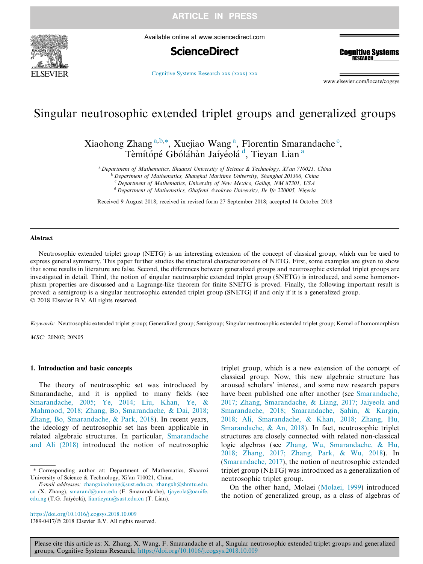



Available online at www.sciencedirect.com

# **ScienceDirect**

**Cognitive Systems RESEARCH** 

[Cognitive Systems Research xxx \(xxxx\) xxx](https://doi.org/10.1016/j.cogsys.2018.10.009)

www.elsevier.com/locate/cogsys

# Singular neutrosophic extended triplet groups and generalized groups

Xiaohong Zhang<sup>a,b,\*</sup>, Xuejiao Wang<sup>a</sup>, Florentin Smarandache<sup>c</sup>, Tèmítópé Gbóláhàn Jaíyéolá<sup>d</sup>, Tieyan Lian<sup>a</sup>

<sup>a</sup> Department of Mathematics, Shaanxi University of Science & Technology, Xi'an 710021, China

<sup>b</sup> Department of Mathematics, Shanghai Maritime University, Shanghai 201306, China

<sup>c</sup> Department of Mathematics, University of New Mexico, Gallup, NM 87301, USA

 $d$  Department of Mathematics, Obafemi Awolowo University, Ile Ife 220005, Nigeria

Received 9 August 2018; received in revised form 27 September 2018; accepted 14 October 2018

#### Abstract

Neutrosophic extended triplet group (NETG) is an interesting extension of the concept of classical group, which can be used to express general symmetry. This paper further studies the structural characterizations of NETG. First, some examples are given to show that some results in literature are false. Second, the differences between generalized groups and neutrosophic extended triplet groups are investigated in detail. Third, the notion of singular neutrosophic extended triplet group (SNETG) is introduced, and some homomorphism properties are discussed and a Lagrange-like theorem for finite SNETG is proved. Finally, the following important result is proved: a semigroup is a singular neutrosophic extended triplet group (SNETG) if and only if it is a generalized group. 2018 Elsevier B.V. All rights reserved.

Keywords: Neutrosophic extended triplet group; Generalized group; Semigroup; Singular neutrosophic extended triplet group; Kernel of homomorphism

MSC: 20N02; 20N05

#### 1. Introduction and basic concepts

The theory of neutrosophic set was introduced by Smarandache, and it is applied to many fields (see [Smarandache, 2005; Ye, 2014; Liu, Khan, Ye, &](#page-8-0) [Mahmood, 2018; Zhang, Bo, Smarandache, & Dai, 2018;](#page-8-0) [Zhang, Bo, Smarandache, & Park, 2018\)](#page-8-0). In recent years, the ideology of neutrosophic set has been applicable in related algebraic structures. In particular, [Smarandache](#page-8-0) [and Ali \(2018\)](#page-8-0) introduced the notion of neutrosophic triplet group, which is a new extension of the concept of classical group. Now, this new algebraic structure has aroused scholars' interest, and some new research papers have been published one after another (see [Smarandache,](#page-8-0) [2017; Zhang, Smarandache, & Liang, 2017; Jaiyeola and](#page-8-0) [Smarandache, 2018; Smarandache,](#page-8-0) S[ahin, & Kargin,](#page-8-0) [2018; Ali, Smarandache, & Khan, 2018; Zhang, Hu,](#page-8-0) [Smarandache, & An, 2018](#page-8-0)). In fact, neutrosophic triplet structures are closely connected with related non-classical logic algebras (see [Zhang, Wu, Smarandache, & Hu,](#page-8-0) [2018; Zhang, 2017; Zhang, Park, & Wu, 2018\)](#page-8-0). In ([Smarandache, 2017](#page-8-0)), the notion of neutrosophic extended triplet group (NETG) was introduced as a generalization of neutrosophic triplet group.

On the other hand, Molaei ([Molaei, 1999\)](#page-8-0) introduced the notion of generalized group, as a class of algebras of

<sup>⇑</sup> Corresponding author at: Department of Mathematics, Shaanxi University of Science & Technology, Xi'an 710021, China.

E-mail addresses: [zhangxiaohong@sust.edu.cn](mailto:zhangxiaohong@sust.edu.cn), [zhangxh@shmtu.edu.](mailto:zhangxh@shmtu.edu.cn) [cn](mailto:zhangxh@shmtu.edu.cn) (X. Zhang), [smarand@unm.edu](mailto:smarand@unm.edu) (F. Smarandache), [tjayeola@oauife.](mailto:tjayeola@oauife.edu.ng) [edu.ng](mailto:tjayeola@oauife.edu.ng) (T.G. Jaíyéolá), [liantieyan@sust.edu.cn](mailto:liantieyan@sust.edu.cn) (T. Lian).

<https://doi.org/10.1016/j.cogsys.2018.10.009> 1389-0417/ $\odot$  2018 Elsevier B.V. All rights reserved.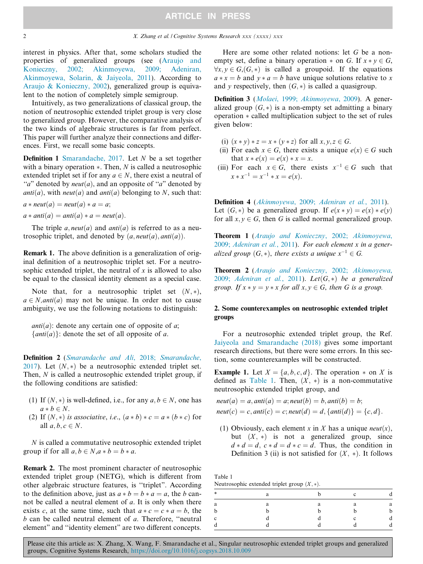interest in physics. After that, some scholars studied the properties of generalized groups (see ([Araujo and](#page-8-0) [Konieczny, 2002; Akinmoyewa, 2009; Adeniran,](#page-8-0) [Akinmoyewa, Solarin, & Jaiyeola, 2011](#page-8-0)). According to [Araujo & Konieczny, 2002\)](#page-8-0), generalized group is equivalent to the notion of completely simple semigroup.

Intuitively, as two generalizations of classical group, the notion of neutrosophic extended triplet group is very close to generalized group. However, the comparative analysis of the two kinds of algebraic structures is far from perfect. This paper will further analyze their connections and differences. First, we recall some basic concepts.

Definition 1 [Smarandache, 2017](#page-8-0). Let N be a set together with a binary operation  $\ast$ . Then, N is called a neutrosophic extended triplet set if for any  $a \in N$ , there exist a neutral of "a" denoted by  $neut(a)$ , and an opposite of "a" denoted by anti $(a)$ , with neut $(a)$  and anti $(a)$  belonging to N, such that:

$$
a * \textit{neut}(a) = \textit{neut}(a) * a = a;
$$
  

$$
a * \textit{anti}(a) = \textit{anti}(a) * a = \textit{neut}(a).
$$

The triple  $a$ , neut(a) and anti(a) is referred to as a neutrosophic triplet, and denoted by  $(a, neut(a), anti(a))$ .

Remark 1. The above definition is a generalization of original definition of a neutrosophic triplet set. For a neutrosophic extended triplet, the neutral of  $x$  is allowed to also be equal to the classical identity element as a special case.

Note that, for a neutrosophic triplet set  $(N, *)$ ,  $a \in N$ , *anti* $(a)$  may not be unique. In order not to cause ambiguity, we use the following notations to distinguish:

*anti* $(a)$ : denote any certain one of opposite of a;  $\{anti(a)\}$ : denote the set of all opposite of a.

Definition 2 ([Smarandache and Ali, 2018; Smarandache,](#page-8-0) [2017](#page-8-0)). Let  $(N, *)$  be a neutrosophic extended triplet set. Then, N is called a neutrosophic extended triplet group, if the following conditions are satisfied:

- (1) If  $(N, *)$  is well-defined, i.e., for any  $a, b \in N$ , one has  $a * b \in N$ .
- (2) If  $(N, *)$  is associative, i.e.,  $(a * b) * c = a * (b * c)$  for all  $a, b, c \in N$ .

N is called a commutative neutrosophic extended triplet group if for all  $a, b \in N$ ,  $a * b = b * a$ .

Remark 2. The most prominent character of neutrosophic extended triplet group (NETG), which is different from other algebraic structure features, is ''triplet". According to the definition above, just as  $a * b = b * a = a$ , the b cannot be called a neutral element of a. It is only when there exists c, at the same time, such that  $a * c = c * a = b$ , the  $b$  can be called neutral element of  $a$ . Therefore, "neutral element" and ''identity element" are two different concepts.

Here are some other related notions: let G be a nonempty set, define a binary operation  $*$  on G. If  $x * y \in G$ ,  $\forall x, y \in G$ ,  $(G, *)$  is called a groupoid. If the equations  $a * x = b$  and  $y * a = b$  have unique solutions relative to x and v respectively, then  $(G, *)$  is called a quasigroup.

Definition 3 ([Molaei, 1999; Akinmoyewa, 2009](#page-8-0)). A generalized group  $(G, *)$  is a non-empty set admitting a binary operation  $*$  called multiplication subject to the set of rules given below:

- (i)  $(x * y) * z = x * (y * z)$  for all  $x, y, z \in G$ .
- (ii) For each  $x \in G$ , there exists a unique  $e(x) \in G$  such that  $x * e(x) = e(x) * x = x$ .
- (iii) For each  $x \in G$ , there exists  $x^{-1} \in G$  such that  $x * x^{-1} = x^{-1} * x = e(x)$ .

Definition 4 ([Akinmoyewa, 2009; Adeniran et al., 2011](#page-8-0)). Let  $(G, *)$  be a generalized group. If  $e(x * v) = e(x) * e(v)$ for all  $x, y \in G$ , then G is called normal generalized group.

Theorem 1 ([Araujo and Konieczny, 2002; Akinmoyewa,](#page-8-0) [2009; Adeniran et al., 2011](#page-8-0)). For each element x in a generalized group  $(G, *)$ , there exists a unique  $x^{-1} \in G$ .

Theorem 2 ([Araujo and Konieczny, 2002; Akinmoyewa,](#page-8-0) [2009; Adeniran et al., 2011](#page-8-0)). Let $(G,*)$  be a generalized group. If  $x * y = y * x$  for all  $x, y \in G$ , then G is a group.

### 2. Some counterexamples on neutrosophic extended triplet groups

For a neutrosophic extended triplet group, the Ref. [Jaiyeola and Smarandache \(2018\)](#page-8-0) gives some important research directions, but there were some errors. In this section, some counterexamples will be constructed.

**Example 1.** Let  $X = \{a, b, c, d\}$ . The operation  $*$  on X is defined as Table 1. Then,  $(X, *)$  is a non-commutative neutrosophic extended triplet group, and

 $neut(a) = a, anti(a) = a; neut(b) = b, anti(b) = b;$  $neut(c) = c, anti(c) = c; neutd) = d, \{anti(d)\} = \{c, d\}.$ 

(1) Obviously, each element x in X has a unique *neut* $(x)$ , but  $(X, *)$  is not a generalized group, since  $d * d = d$ ,  $c * d = d * c = d$ . Thus, the condition in Definition 3 (ii) is not satisfied for  $(X, *)$ . It follows

Table 1 Neutrosophic extended triplet group  $(X, *)$ .

| $*$    | я | $\sim$ |   |
|--------|---|--------|---|
| a      | c |        | а |
|        |   |        |   |
| $\sim$ |   |        |   |
|        |   |        |   |
|        |   |        |   |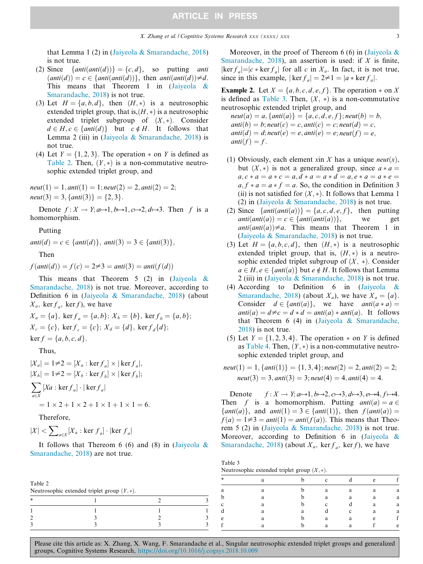that Lemma 1 (2) in ([Jaiyeola & Smarandache, 2018](#page-8-0)) is not true.

- (2) Since  $\{ant(anti(d))\} = \{c, d\}$ , so putting anti  $d(\text{anti}(d)) = c \in \{anti(\text{anti}(d))\},\$  then  $\text{anti}(\text{anti}(d)) \neq d$ . This means that Theorem 1 in ([Jaiyeola &](#page-8-0) [Smarandache, 2018](#page-8-0)) is not true.
- (3) Let  $H = \{a, b, d\}$ , then  $(H, *)$  is a neutrosophic extended triplet group, that is, $(H, *)$  is a neutrosophic extended triplet subgroup of  $(X, *)$ . Consider  $d \in H, c \in \{anti(d)\}\$  but  $c \notin H$ . It follows that Lemma 2 (iii) in ([Jaiyeola & Smarandache, 2018\)](#page-8-0) is not true.
- (4) Let  $Y = \{1, 2, 3\}$ . The operation  $*$  on Y is defined as Table 2. Then,  $(Y, *)$  is a non-commutative neutrosophic extended triplet group, and

 $neut(1) = 1, anti(1) = 1; neut(2) = 2, anti(2) = 2;$  $neut(3) = 3, \{anti(3)\} = \{2, 3\}.$ 

Denote  $f: X \to Y; a \mapsto 1, b \mapsto 1, c \mapsto 2, d \mapsto 3$ . Then f is a homomorphism.

Putting

 $anti(d) = c \in \{anti(d)\}, anti(3) = 3 \in \{anti(3)\},\$ 

Then

 $f(anti(d)) = f(c) = 2 \neq 3 = anti(3) = anti(f(d))$ 

This means that Theorem 5 (2) in (Jaiyeola  $\&$ [Smarandache, 2018](#page-8-0)) is not true. Moreover, according to Definition 6 in [\(Jaiyeola & Smarandache, 2018\)](#page-8-0) (about  $X_a$ , ker  $f_a$ , ker f), we have

$$
X_a = \{a\}, \text{ ker } f_a = \{a, b\}; X_b = \{b\}, \text{ ker } f_b = \{a, b\};
$$
  

$$
X_c = \{c\}, \text{ ker } f_c = \{c\}; X_d = \{d\}, \text{ ker } f_d \{d\};
$$

 $\ker f = \{a, b, c, d\}.$ 

Thus,

$$
|X_a| = 1 \neq 2 = [X_a : \ker f_a] \times |\ker f_a|,
$$
  
\n
$$
|X_b| = 1 \neq 2 = [X_b : \ker f_b] \times |\ker f_b|;
$$
  
\n
$$
\sum_{a \in X} [Xa : \ker f_a] \cdot |\ker f_a|
$$
  
\n
$$
= 1 \times 2 + 1 \times 2 + 1 \times 1 + 1 \times 1 = 6.
$$

Therefore,

$$
|X| < \sum_{a \in X} [X_a : \ker f_a] \cdot |\ker f_a|
$$

It follows that Thereom 6 (6) and (8) in ([Jaiyeola &](#page-8-0) [Smarandache, 2018](#page-8-0)) are not true.

Moreover, in the proof of Thereom 6 (6) in (Jaiyeola  $\&$ [Smarandache, 2018\)](#page-8-0), an assertion is used: if  $X$  is finite,  $|\ker f_a| = |c * \ker f_a|$  for all c in  $X_a$ . In fact, it is not true, since in this example,  $|\ker f_a| = 2 \neq 1 = |a * \ker f_a|$ .

**Example 2.** Let  $X = \{a, b, c, d, e, f\}$ . The operation  $*$  on X is defined as Table 3. Then,  $(X, *)$  is a non-commutative neutrosophic extended triplet group, and

 $neut(a) = a, \{anti(a)\} = \{a, c, d, e, f\}; neut(b) = b,$  $anti(b) = b; neut(c) = c, anti(c) = c; neut(d) = c,$  $antid) = d; neut(e) = e, anti(e) = e; neut(f) = e;$  $anti(f) = f$ .

- (1) Obviously, each element xin X has a unique *neut* $(x)$ , but  $(X, *)$  is not a generalized group, since  $a * a =$  $a, c * a = a * c = a, d * a = a * d = a, e * a = a * e = a$  $a, f * a = a * f = a$ . So, the condition in Definition 3 (ii) is not satisfied for  $(X, *)$ . It follows that Lemma 1 (2) in [\(Jaiyeola & Smarandache, 2018](#page-8-0)) is not true.
- (2) Since  $\{anti(anti(a))\} = \{a, c, d, e, f\}$ , then putting  $anti(anti(a)) = c \in \{anti(anti(a))\}$ , we get  $anti(anti(a)) = c \in \{anti(anti(a))\},$  we get  $anti(anti(a)) \neq a$ . This means that Theorem 1 in  $anti(anti(a)) \neq a$ . This means that Theorem 1 in ([Jaiyeola & Smarandache, 2018\)](#page-8-0) is not true.
- (3) Let  $H = \{a, b, c, d\}$ , then  $(H, *)$  is a neutrosophic extended triplet group, that is,  $(H, *)$  is a neutrosophic extended triplet subgroup of  $(X, *)$ . Consider  $a \in H, e \in \{anti(a)\}\$  but  $e \notin H$ . It follows that Lemma 2 (iii) in [\(Jaiyeola & Smarandache, 2018\)](#page-8-0) is not true.
- (4) According to Definition 6 in [\(Jaiyeola &](#page-8-0) [Smarandache, 2018\)](#page-8-0) (about  $X_a$ ), we have  $X_a = \{a\}.$ Consider  $d \in \{anti(a)\},$  we have  $anti(a * a) =$  $anti(a) = d \neq c = d * d = anti(a) * anti(a)$ . It follows that Theorem 6 (4) in [\(Jaiyeola & Smarandache,](#page-8-0) [2018](#page-8-0)) is not true.
- (5) Let  $Y = \{1, 2, 3, 4\}$ . The operation  $*$  on Y is defined as [Table 4](#page-3-0). Then,  $(Y, *)$  is a non-commutative neutrosophic extended triplet group, and

$$
neut(1) = 1, \{anti(1)\} = \{1, 3, 4\}; neut(2) = 2, anti(2) = 2; neut(3) = 3, anti(3) = 3; neut(4) = 4, anti(4) = 4.
$$

Denote  $f: X \to Y; a \mapsto 1, b \mapsto 2, c \mapsto 3, d \mapsto 3, e \mapsto 4, f \mapsto 4.$ Then f is a homomorphism. Putting  $anti(a) = a \in$ { $anti(a)$ }, and  $anti(1) = 3 \in \{anti(1)\}$ , then  $f(anti(a)) =$  $f(a) = 1 \neq 3 = anti(1) = antif(a))$ . This means that Theorem 5 (2) in [\(Jaiyeola & Smarandache, 2018\)](#page-8-0) is not true. Moreover, according to Definition 6 in (Jaiyeola  $\&$ [Smarandache, 2018](#page-8-0)) (about  $X_a$ , ker  $f_a$ , ker f), we have

| Table 2                                        |  |  |  |  |  |  | ◡      |  | $\sim$ |   |
|------------------------------------------------|--|--|--|--|--|--|--------|--|--------|---|
| Neutrosophic extended triplet group $(Y, *)$ . |  |  |  |  |  |  | a      |  |        | a |
|                                                |  |  |  |  |  |  |        |  |        | a |
|                                                |  |  |  |  |  |  | $\sim$ |  | a      | a |
|                                                |  |  |  |  |  |  |        |  |        | a |
|                                                |  |  |  |  |  |  |        |  | $\sim$ |   |
|                                                |  |  |  |  |  |  |        |  |        |   |
|                                                |  |  |  |  |  |  |        |  |        |   |

Table 3

Neutrosophic extended triplet group  $(X, *)$ .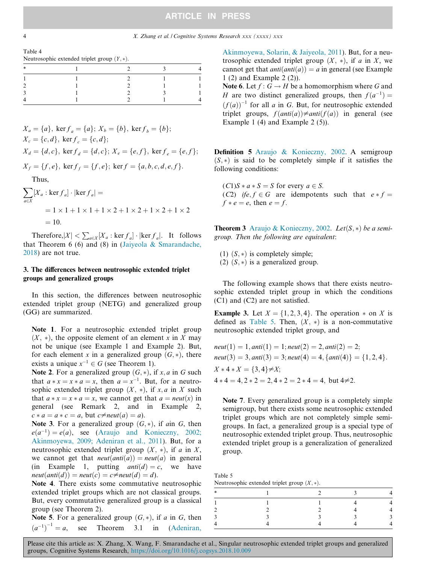## **ARTICLE IN PRESS**

#### <span id="page-3-0"></span>4 X. Zhang et al. / Cognitive Systems Research xxx (xxxx) xxx

Table 4

| Neutrosophic extended triplet group $(Y, *)$ . |  |  |
|------------------------------------------------|--|--|
|                                                |  |  |

| $\ast$ |  | $\mathbf{R}$ |  |
|--------|--|--------------|--|
|        |  |              |  |
|        |  |              |  |
|        |  |              |  |
|        |  |              |  |
|        |  |              |  |

$$
X_a = \{a\}, \text{ ker } f_a = \{a\}; X_b = \{b\}, \text{ ker } f_b = \{b\};
$$
  
\n
$$
X_c = \{c, d\}, \text{ ker } f_c = \{c, d\};
$$
  
\n
$$
X_d = \{d, c\}, \text{ ker } f_d = \{d, c\}; X_e = \{e, f\}, \text{ ker } f_e = \{e, f\};
$$
  
\n
$$
X_f = \{f, e\}, \text{ ker } f_f = \{f, e\}; \text{ ker } f = \{a, b, c, d, e, f\}.
$$
  
\nThus,

$$
\sum_{a \in X} [X_a : \ker f_a] \cdot |\ker f_a| =
$$
  
= 1 × 1 + 1 × 1 + 1 × 2 + 1 × 2 + 1 × 2 + 1 × 2  
= 10.

Therefore,  $|X| < \sum_{a \in X} [X_a : \ker f_a] \cdot |\ker f_a|$ . It follows that Theorem 6 (6) and (8) in ([Jaiyeola & Smarandache,](#page-8-0) [2018\)](#page-8-0) are not true.

### 3. The differences between neutrosophic extended triplet groups and generalized groups

In this section, the differences between neutrosophic extended triplet group (NETG) and generalized group (GG) are summarized.

Note 1. For a neutrosophic extended triplet group  $(X, *),$  the opposite element of an element x in X may not be unique (see Example 1 and Example 2). But, for each element x in a generalized group  $(G, *)$ , there exists a unique  $x^{-1} \in G$  (see Theorem 1).

Note 2. For a generalized group  $(G, *)$ , if x, a in G such that  $a * x = x * a = x$ , then  $a = x<sup>-1</sup>$ . But, for a neutrosophic extended triplet group  $(X, *),$  if  $x, a$  in X such that  $a * x = x * a = x$ , we cannot get that  $a = \text{neut}(x)$  in general (see Remark 2, and in Example 2,  $c * a = a * c = a$ , but  $c \neq \text{neut}(a) = a$ ).

Note 3. For a generalized group  $(G, *)$ , if ain G, then  $e(a^{-1}) = e(a)$ , see [\(Araujo and Konieczny, 2002;](#page-8-0) [Akinmoyewa, 2009; Adeniran et al., 2011\)](#page-8-0). But, for a neutrosophic extended triplet group  $(X, *)$ , if a in X, we cannot get that  $neut(anti(a)) = neut(a)$  in general (in Example 1, putting  $anti(d) = c$ , we have  $neut(anti(d)) = neut(c) = c \neq neut(d) = d$ .

Note 4. There exists some commutative neutrosophic extended triplet groups which are not classical groups. But, every commutative generalized group is a classical group (see Theorem 2).

**Note 5.** For a generalized group  $(G, *)$ , if a in G, then  $(a^{-1})^{-1} = a$ , see Theorem 3.1 in (Adeniran,  $(a^{-1})^{-1} = a$ ,

[Akinmoyewa, Solarin, & Jaiyeola, 2011\)](#page-8-0). But, for a neutrosophic extended triplet group  $(X, *)$ , if a in X, we cannot get that  $anti(anti(a)) = a$  in general (see Example 1 (2) and Example 2 (2)).

Note 6. Let  $f: G \to H$  be a homomorphism where G and H are two distinct generalized groups, then  $f(a^{-1}) =$  $(f(a))^{-1}$  for all a in G. But, for neutrosophic extended triplet groups,  $f(anti(a)) \neq anti(f(a))$  in general (see Example 1 (4) and Example 2 (5)).

Definition 5 [Araujo & Konieczny, 2002](#page-8-0). A semigroup  $(S, *)$  is said to be completely simple if it satisfies the following conditions:

 $(C1)S * a * S = S$  for every  $a \in S$ . (C2) if e,  $f \in G$  are idempotents such that  $e * f = f$  $f * e = e$ , then  $e = f$ .

**Theorem 3** [Araujo & Konieczny, 2002.](#page-8-0) Let $(S, *)$  be a semigroup. Then the following are equivalent:

(1)  $(S, *)$  is completely simple;

(2)  $(S, *)$  is a generalized group.

The following example shows that there exists neutrosophic extended triplet group in which the conditions (C1) and (C2) are not satisfied.

**Example 3.** Let  $X = \{1, 2, 3, 4\}$ . The operation  $*$  on X is defined as Table 5. Then,  $(X, *)$  is a non-commutative neutrosophic extended triplet group, and

 $neut(1) = 1, anti(1) = 1; neut(2) = 2, anti(2) = 2;$  $neut(3) = 3, anti(3) = 3; neut(4) = 4, {anti(4)} = {1, 2, 4}.$  $X * 4 * X = \{3, 4\} \neq X;$  $4 * 4 = 4, 2 * 2 = 2, 4 * 2 = 2 * 4 = 4$ , but  $4 \neq 2$ .

Note 7. Every generalized group is a completely simple semigroup, but there exists some neutrosophic extended triplet groups which are not completely simple semigroups. In fact, a generalized group is a special type of neutrosophic extended triplet group. Thus, neutrosophic extended triplet group is a generalization of generalized group.

Table 5 Neutrosophic extended triplet group  $(X, *)$ .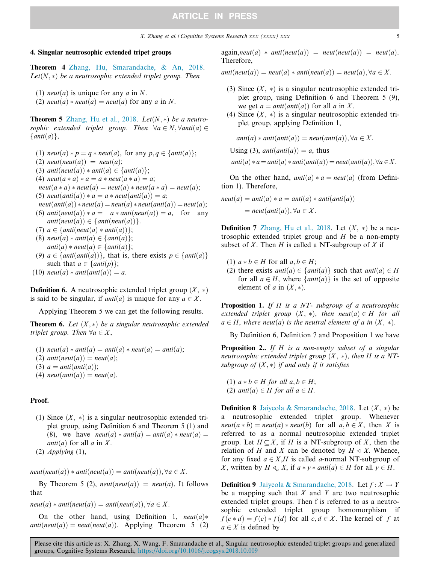#### 4. Singular neutrosophic extended tripet groups

Theorem 4 [Zhang, Hu, Smarandache, & An, 2018.](#page-8-0) Let $(N,*)$  be a neutrosophic extended triplet group. Then

(1) *neut*(*a*) is unique for any *a* in N.

(2) neut(a)  $*$  neut(a) = neut(a) for any a in N.

**Theorem 5** [Zhang, Hu et al., 2018](#page-8-0). Let $(N, *)$  be a neutrosophic extended triplet group. Then  $\forall a \in N, \forall anti(a) \in$  $\{anti(a)\},\$ 

- (1) neut(a)  $* p = q * neut(a)$ , for any  $p, q \in \{anti(a)\};$ (2) neut(neut(a)) = neut(a); (3) anti $neut(a)$   $*$  anti $(a) \in \{anti(a)\};$ (4) neut $(a * a) * a = a * \textit{neut}(a * a) = a;$  $neut(a * a) * neut(a) = neut(a) * neut(a * a) = neut(a);$ (5) neut $(\text{anti}(a)) * a = a * \text{neut}(\text{anti}(a)) = a;$  $neut(anti(a)) * neut(a) = neut(a) * neut(anti(a)) = neut(a);$ (6) anti $neut(a)$   $* a = a * anti(neut(a)) = a$ , for any  $anti(neut(a)) \in \{anti(neut(a))\}.$ (7)  $a \in \{anti(neut(a) * anti(a))\};$
- (8) neut(a)  $*$  anti $(a) \in \{anti(a)\};$  $anti(a) * neut(a) \in \{anti(a)\};$
- (9)  $a \in \{anti(anti(a))\}$ , that is, there exists  $p \in \{anti(a)\}$ such that  $a \in \{anti(p)\};$
- (10) neut(a)  $*$  anti(anti(a)) = a.

**Definition 6.** A neutrosophic extended triplet group  $(X, *)$ is said to be singular, if anti(a) is unique for any  $a \in X$ .

Applying Theorem 5 we can get the following results.

**Theorem 6.** Let  $(X, *)$  be a singular neutrosophic extended triplet group. Then  $\forall a \in X$ ,

(1) neut(a)  $*$  anti $(a) =$  anti $(a) *$  neut(a) = anti(a); (2) anti $neut(a)$  = neut $(a)$ ; (3)  $a = anti(anti(a))$ ; (4) neut $(anti(a)) = neut(a)$ .

#### Proof.

- (1) Since  $(X, *)$  is a singular neutrosophic extended triplet group, using Definition 6 and Theorem 5 (1) and (8), we have  $neut(a) * anti(a) = anti(a) * neu(ta) =$ *anti* $(a)$  for all  $a$  in  $X$ .
- (2) Applying  $(1)$ ,

 $neut(neut(a)) * anti(neut(a)) = anti(neut(a)), \forall a \in X.$ 

By Theorem 5 (2), neut(neut(a)) = neut(a). It follows that

 $neut(a) * anti(neut(a)) = anti(neut(a)), \forall a \in X.$ 

On the other hand, using Definition 1,  $neut(a)*$  $anti(neut(a)) = neut(neut(a))$ . Applying Theorem 5 (2)  $again, neut(a) * anti(new(a)) = neut(new(a)) = neut(0).$ Therefore,

 $anti(neut(a)) = neut(a) * anti(neut(a)) = neut(a), \forall a \in X.$ 

- (3) Since  $(X, *)$  is a singular neutrosophic extended triplet group, using Definition 6 and Theorem 5 (9), we get  $a = anti(anti(a))$  for all a in X.
- (4) Since  $(X, *)$  is a singular neutrosophic extended triplet group, applying Definition 1,

$$
anti(a) * anti(anti(a)) = neutr(anti(a)), \forall a \in X.
$$

Using (3), anti $(anti(a)) = a$ , thus

$$
anti(a) * a = anti(a) * anti(anti(a)) = neutr (anti(a)), \forall a \in X.
$$

On the other hand,  $anti(a) * a = neut(a)$  (from Definition 1). Therefore,

$$
neut(a) = anti(a) * a = anti(a) * anti(anti(a))
$$
  
= 
$$
neut(anti(a)), \forall a \in X.
$$

**Definition 7** [Zhang, Hu et al., 2018.](#page-8-0) Let  $(X, *)$  be a neutrosophic extended triplet group and  $H$  be a non-empty subset of X. Then H is called a NT-subgroup of X if

- (1)  $a * b \in H$  for all  $a, b \in H$ ;
- (2) there exists anti(a)  $\in$  {anti(a)} such that anti(a)  $\in$  H for all  $a \in H$ , where  $\{anti(a)\}\$ is the set of opposite element of a in  $(X, *)$ .

Proposition 1. If H is a NT- subgroup of a neutrosophic extended triplet group  $(X, *)$ , then neut $(a) \in H$  for all  $a \in H$ , where neut(a) is the neutral element of a in  $(X, *)$ .

By Definition 6, Definition 7 and Proposition 1 we have

Proposition 2.. If H is a non-empty subset of a singular neutrosophic extended triplet group  $(X, *)$ , then H is a NTsubgroup of  $(X, *)$  if and only if it satisfies

(1)  $a * b \in H$  for all  $a, b \in H$ ; (2) anti(a)  $\in$  H for all  $a \in$  H.

**Definition 8** [Jaiyeola & Smarandache, 2018.](#page-8-0) Let  $(X, *)$  be a neutrosophic extended triplet group. Whenever  $neut(a * b) = neut(a) * neut(b)$  for all  $a, b \in X$ , then X is referred to as a normal neutrosophic extended triplet group. Let  $H \subseteq X$ , if H is a NT-subgroup of X, then the relation of H and X can be denoted by  $H \triangleleft X$ . Whence, for any fixed  $a \in X, H$  is called a-normal NT-subgroup of X, written by  $H \triangleleft_{a} X$ , if  $a * y * anti(a) \in H$  for all  $y \in H$ .

**Definition 9** [Jaiyeola & Smarandache, 2018.](#page-8-0) Let  $f: X \rightarrow Y$ be a mapping such that  $X$  and  $Y$  are two neutrosophic extended triplet groups. Then f is referred to as a neutrosophic extended triplet group homomorphism if  $f(c*d) = f(c) * f(d)$  for all  $c, d \in X$ . The kernel of f at  $a \in X$  is defined by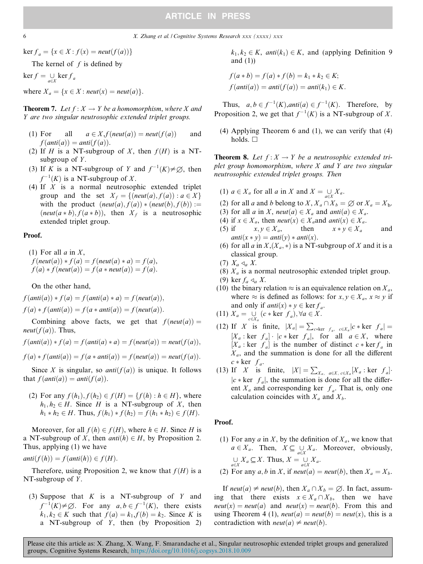#### 6 X. Zhang et al. / Cognitive Systems Research xxx (xxxx) xxx

 $\ker f_a = \{x \in X : f(x) = \text{neut}(f(a))\}$ 

The kernel of  $f$  is defined by

 $\ker f = \bigcup_{a \in X} \ker f_a$ 

where  $X_a = \{x \in X : \text{neut}(x) = \text{neut}(a)\}.$ 

**Theorem 7.** Let  $f: X \to Y$  be a homomorphism, where X and Y are two singular neutrosophic extended triplet groups.

- (1) For all  $a \in X, f(\text{neut}(a)) = \text{neut}(f(a))$  and  $f(anti(a)) = anti(f(a)).$
- (2) If H is a NT-subgroup of X, then  $f(H)$  is a NTsubgroup of  $Y$ .
- (3) If K is a NT-subgroup of Y and  $f^{-1}(K) \neq \emptyset$ , then  $f^{-1}(K)$  is a NT-subgroup of X.<br>If X is a normal neutroson
- (4) If  $X$  is a normal neutrosophic extended triplet group and the set  $X_f = \{ (neut(a), f(a)) : a \in X \}$ with the product  $(new(a), f(a)) * (neut(b), f(b)) :=$  $(neut(a*b), f(a*b))$ , then  $X_f$  is a neutrosophic extended triplet group.

#### Proof.

(1) For all  $a$  in  $X$ ,  $f(\text{neut}(a)) * f(a) = f(\text{neut}(a) * a) = f(a),$  $f(a) * f(new(a)) = f(a * neut(a)) = f(a).$ 

On the other hand,

 $f(anti(a)) * f(a) = f(anti(a) * a) = f(neut(a)),$  $f(a) * f(anti(a)) = f(a * anti(a)) = f(new(a)).$ 

Combining above facts, we get that  $f(new(a)) =$ *neut* $(f(a))$ . Thus,

 $f(anti(a)) * f(a) = f(anti(a) * a) = f(neut(a)) = neut(f(a)),$ 

 $f(a) * f(anti(a)) = f(a * anti(a)) = f(neut(a)) = neut(f(a)).$ 

Since X is singular, so *anti* $(f(a))$  is unique. It follows that  $f(anti(a)) = anti(f(a))$ .

(2) For any  $f(h_1), f(h_2) \in f(H) = \{f(h) : h \in H\}$ , where  $h_1, h_2 \in H$ . Since H is a NT-subgroup of X, then  $h_1 * h_2 \in H$ . Thus,  $f(h_1) * f(h_2) = f(h_1 * h_2) \in f(H)$ .

Moreover, for all  $f(h) \in f(H)$ , where  $h \in H$ . Since H is a NT-subgroup of X, then  $anti(h) \in H$ , by Proposition 2. Thus, applying (1) we have

 $anti(f(h)) = f(anti(h)) \in f(H)$ .

Therefore, using Proposition 2, we know that  $f(H)$  is a NT-subgroup of  $Y$ .

(3) Suppose that  $K$  is a NT-subgroup of  $Y$  and  $f^{-1}(K) \neq \emptyset$ . For any  $a, b \in f^{-1}(K)$ , there exists<br> $k, k \in K$  such that  $f(a) = k, f(b) = k$ . Since K is  $k_1, k_2 \in K$  such that  $f(a) = k_1, f(b) = k_2$ . Since K is a NT-subgroup of  $Y$ , then (by Proposition 2)  $k_1, k_2 \in K$ , anti $(k_1) \in K$ , and (applying Definition 9 and  $(1)$ )

$$
f(a * b) = f(a) * f(b) = k_1 * k_2 \in K;
$$
  

$$
f(anti(a)) = anti(f(a)) = anti(k_1) \in K.
$$

Thus,  $a, b \in f^{-1}(K)$ , anti $(a) \in f^{-1}(K)$ . Therefore, by<br>conceition 2, we get that  $f^{-1}(K)$  is a NT subgroup of Y Proposition 2, we get that  $f^{-1}(K)$  is a NT-subgroup of X.

(4) Applying Theorem 6 and (1), we can verify that (4) holds.  $\square$ 

**Theorem 8.** Let  $f: X \to Y$  be a neutrosophic extended triplet group homomorphism, where  $X$  and  $Y$  are two singular neutrosophic extended triplet groups. Then

- (1)  $a \in X_a$  for all a in X and  $X = \bigcup_{a \in X} X_a$ .
- (2) for all a and b belong to X,  $X_a \cap X_b = \emptyset$  or  $X_a = X_b$ .
- (3) for all a in X, neut(a)  $\in X_a$  and anti(a)  $\in X_a$ .
- (4) if  $x \in X_a$ , then *neut*(x)  $\in X_a$  and *anti*(x)  $\in X_a$ .<br>(5) if  $x, y \in X_a$ , then  $x * y \in X_a$
- (5) if  $x, y \in X_a$ , then  $x * y \in X_a$  and  $\overline{a}nti(x * y) = \overline{a}nti(y) * \overline{a}nti(x)$ anti $(x * y) =$ anti $(y) *$ anti $(x)$ .<br>for all *a* in *X*  $(X * )$  is a NT-
- (6) for all a in  $X,(X_a,*)$  is a NT-subgroup of X and it is a classical group.
- $(7)$   $X_a \triangleleft_a X$ .
- (8)  $X_a$  is a normal neutrosophic extended triplet group.
- (9) ker  $f_a \triangleleft_a X$ .
- (10) the binary relation  $\approx$  is an equivalence relation on  $X_a$ , where  $\approx$  is defined as follows: for  $x, y \in X_a$ ,  $x \approx y$  if and only if  $anti(x) * y \in \text{ker } f_a$ .

(11) 
$$
X_a = \bigcup_{c \in X_a} (c * \ker f_a), \forall a \in X.
$$

- (12) If X is finite,  $|X_a| = \sum_{c \neq \ker f_a} c \in X_a |c \neq \ker f_a| =$  $[X_a : \text{ker } f_a] \cdot |c * \text{ker } f_a|$ , for all  $a \in X$ , where  $[X_a : \text{ker } f_a]$  is the number of distinct  $c * \text{ker } f_a$  in  $X_a$ , and the summation is done for all the different  $c * \ker f_a$ .
- (13) If X is finite,  $|X| = \sum_{X_a} a \in X$ ,  $c \in X_a [X_a : \text{ker } f_a]$ .  $|c * \text{ker } f_a|$ , the summation is done for all the different  $X_a$  and corresponding ker  $f_a$ . That is, only one calculation coincides with  $X_a$  and  $X_b$ .

#### Proof.

(1) For any  $a$  in  $X$ , by the definition of  $X_a$ , we know that  $a \in X_a$ . Then,  $X \subseteq \bigcup_{a \in X} X_a$ . Moreover, obviously,  $\bigcup_{a \in X} X_a \subseteq X$ . Thus,  $X = \bigcup_{a \in X} X_a$ .

(2) For any 
$$
a, b
$$
 in  $X$ , if  $neut(a) = neut(b)$ , then  $X_a = X_b$ .

If neut(a)  $\neq$  neut(b), then  $X_a \cap X_b = \emptyset$ . In fact, assuming that there exists  $x \in X_a \cap X_b$ , then we have  $neut(x) = neut(a)$  and  $neut(x) = neut(b)$ . From this and using Theorem 4 (1),  $neut(a) = neut(b) = neut(x)$ , this is a contradiction with *neut*(*a*)  $\neq$  *neut*(*b*).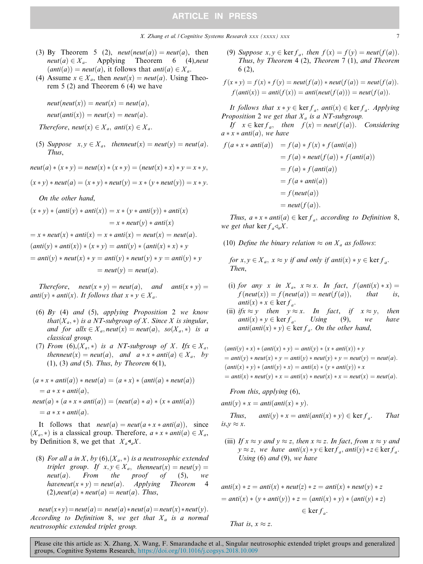### **ARTICLE IN PRESS**

- (3) By Theorem 5 (2), *neut*(*neut*(*a*)) = *neut*(*a*), then *neut*(*a*)  $\in X_a$ . Applying Theorem 6 (4), *neut* neut(a)  $\in X_a$ . Applying Theorem 6 (4), neut<br>(anti(a)) – neut(a) it follows that anti(a)  $\in X$  $(\text{anti}(a)) = \text{neut}(a)$ , it follows that  $\text{anti}(a) \in X_a$ .<br>Assume  $x \in X$  then  $\text{neut}(x) = \text{neut}(a)$ . Using
- (4) Assume  $x \in X_a$ , then *neut*(x) = *neut*(a). Using Theorem 5 (2) and Theorem 6 (4) we have

 $neut(new(x)) = neut(x) = neut(a),$ 

$$
neut(anti(x)) = neut(x) = neut(a).
$$

Therefore, neut $(x) \in X_a$ , anti $(x) \in X_a$ .

(5) Suppose  $x, y \in X_a$ , thenneut $(x) = \text{neut}(y) = \text{neut}(a)$ . Thus,

 $neut(a)*(x*y) = neut(x)*(x*y) = (neut(x)*x)*y = x*y,$ 

 $(x * y) * neut(a) = (x * y) * neut(y) = x * (y * neut(y)) = x * y.$ 

On the other hand,

$$
(x * y) * (anti(y) * anti(x)) = x * (y * anti(y)) * anti(x)
$$
  
=  $x * neut(y) * anti(x)$   
=  $x * neut(x) * anti(x) = x * anti(x) = neut(x) = neut(a)$ .  

$$
(anti(y) * anti(x)) * (x * y) = anti(y) * (anti(x) * x) * y
$$
  
=  $anti(y) * neut(x) * y = anti(y) * neut(y) * y = anti(y) * y$   
=  $neut(y) = neut(a)$ .

Therefore, neut $(x * y) = \text{neut}(a)$ , and anti $(x * y) = \text{neut}(x^2 + y^2)$ anti $(y)$  \* anti $(x)$ . It follows that  $x * y \in X_a$ .

- (6) By (4) and (5), applying Proposition 2 we know that( $X_a$ ,  $\ast$ ) is a NT-subgroup of X. Since X is singular, and for all $x \in X_a$ , neut $(x) = \text{neut}(a)$ , so $(X_a, *)$  is a classical group.
- (7) From (6), $(X_a, *)$  is a NT-subgroup of X. If  $x \in X_a$ , thenneut(x) = neut(a), and  $a * x * \text{anti}(a) \in X_a$ , by (1), (3) and (5). Thus, by Theorem 6(1),

$$
(a * x * anti(a)) * neut(a) = (a * x) * (anti(a) * neut(a))
$$
  
= a \* x \* anti(a),  
neut(a) \* (a \* x \* anti(a)) = (neut(a) \* a) \* (x \* anti(a))  
= a \* x \* anti(a).

It follows that  $neut(a) = neut(a * x * anti(a))$ , since  $(X_a, *)$  is a classical group. Therefore,  $a * x * \text{anti}(a) \in X_a$ , by Definition 8, we get that  $X_a \mathbf{d}_a X$ .

(8) For all a in X, by  $(6)$ ,  $(X_a, *)$  is a neutrosophic extended triplet group. If  $x, y \in X_a$ , then  $neut(x) = neut(y) = neut(a)$ . From the proof of (5), we neut(a). From the proof of (5), we<br>havenaut(x x y) = neut(a) Applying Theorem A haveneut(x \* y) = neut(a). Applying Theorem 4<br>(2) neut(a) \* neut(a) = neut(a) Thus  $(2),$ neut $(a) *$  neut $(a) =$  neut $(a)$ . Thus,

 $neut(x*y) = neut(a) = neut(a)*neut(a) = neut(x)*neut(y).$ According to Definition 8, we get that  $X_a$  is a normal neutrosophic extended triplet group.

(9) Suppose  $x, y \in \text{ker } f_a$ , then  $f(x) = f(y) = \text{neut}(f(a))$ . Thus, by Theorem 4 (2), Theorem 7 (1), and Theorem 6 (2),

$$
f(x * y) = f(x) * f(y) = \text{neut}(f(a)) * \text{neut}(f(a)) = \text{neut}(f(a)).
$$
  

$$
f(\text{anti}(x)) = \text{anti}(f(x)) = \text{anti}(\text{neut}(f(a))) = \text{neut}(f(a)).
$$

It follows that  $x * y \in \ker f_a$ , anti $(x) \in \ker f_a$ . Applying Proposition 2 we get that  $X_a$  is a NT-subgroup.

If  $x \in \ker f_a$ , then  $f(x) = \text{neut}(f(a))$ . Considering  $a * x * anti(a), we have$ 

$$
f(a * x * anti(a)) = f(a) * f(x) * f(anti(a))
$$
  
=  $f(a) * neut(f(a)) * f(anti(a))$   
=  $f(a) * f(anti(a))$   
=  $f(a * anti(a))$   
=  $f(neut(a))$   
=  $neut(f(a)).$ 

Thus,  $a * x * anti(a) \in \text{ker } f_a$ , according to Definition 8, we get that ker  $f_a \triangleleft_a X$ .

(10) Define the binary relation  $\approx$  on  $X_a$  as follows:

for  $x, y \in X_a$ ,  $x \approx y$  if and only if anti(x)  $\ast y \in \ker f_a$ . Then,

- (i) for any x in  $X_a$ ,  $x \approx x$ . In fact,  $f(\text{anti}(x) * x) = f(\text{neut}(x)) = f(\text{neut}(a)) = \text{neut}(f(a)),$  that is,  $f(new(x)) = f(new(a)) = neut(f(a)),$ anti $(x) * x \in \ker f_a$ .
- (ii)  $ifx \approx y$  then  $y \approx x$ . In fact, if  $x \approx y$ , then<br>anti $(x) * y \in \ker f_a$ . Using (9), we have  $\text{anti}(x) * y \in \text{ker } f_a$ . Using (9), we have<br>anti(anti(x)  $* y$ )  $\in \text{ker } f$  On the other hand  $anti(anti(x) * y) \in \text{ker } f_a$ . On the other hand,

$$
(anti(y) * x) * (anti(x) * y) = anti(y) * (x * anti(x)) * y
$$
  
= anti(y) \* neut(x) \* y = anti(y) \* neut(y) \* y = neut(y) = neut(a).  

$$
(anti(x) * y) * (anti(y) * x) = anti(x) * (y * anti(y)) * x
$$
  
= anti(x) \* neut(y) \* x = anti(x) \* neut(x) \* x = neut(x) = neut(a).

From this, applying (6),

 $anti(y) * x = anti(anti(x) * y).$ 

Thus, 
$$
anti(y) * x = anti(anti(x) * y) \in \ker f_a
$$
. That  
is,  $y \approx x$ .

(iii) If  $x \approx y$  and  $y \approx z$ , then  $x \approx z$ . In fact, from  $x \approx y$  and  $y \approx z$ , we have anti $(x) * y \in \text{ker} f_a$ , anti $(y) * z \in \text{ker} f_a$ . Using  $(6)$  and  $(9)$ , we have

$$
anti(x) * z = anti(x) * neut(z) * z = anti(x) * neut(y) * z
$$
  
=  $anti(x) * (y * anti(y)) * z = (anti(x) * y) * (anti(y) * z)$   
 $\in \text{ker } f_a.$ 

$$
That is, x \approx z.
$$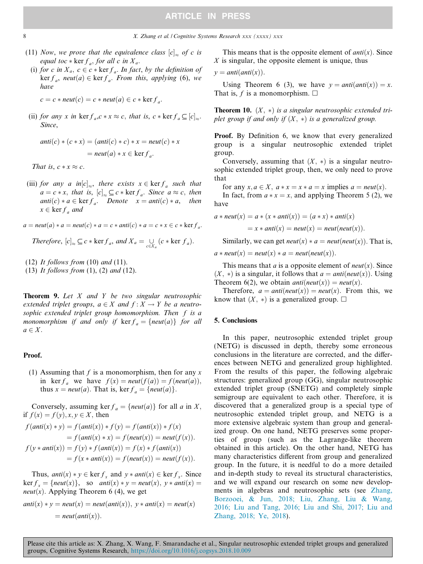### **ARTICLE IN PRESS**

- (11) Now, we prove that the equivalence class  $[c]_{\sim}$  of c is equal toc  $\ast$  ker  $f_a$ , for all c in  $X_a$ .
- (i) for c in  $X_a$ ,  $c \in c * \ker f_a$ . In fact, by the definition of  $\ker f_a$ , neut(a)  $\in \ker f_a$ . From this, applying (6), we have

$$
c = c * \textit{neut}(c) = c * \textit{neut}(a) \in c * \textit{ker } f_a.
$$

(ii) for any x in ker  $f_a, c \times x \approx c$ , that is,  $c \times \text{ker } f_a \subseteq [c]_{\approx}$ . Since,

$$
anti(c) * (c * x) = (anti(c) * c) * x = neut(c) * x
$$

$$
= neut(a) * x \in ker f_a.
$$

That is,  $c * x \approx c$ .

(iii) for any a in $[c]_{\approx}$ , there exists  $x \in \ker f_a$  such that  $a = c * x$ , that is,  $[c]_{\approx} \subseteq c * \text{ker } f_a$ . Since  $a \approx c$ , then anti $(c)*a \in \text{ker } f_a$ . Denote  $x = \text{anti}(c)*a$ , then  $x \in \ker f_a$  and

$$
a = \textit{neut}(a) * a = \textit{neut}(c) * a = c * \textit{anti}(c) * a = c * x \in c * \textit{ker } f_a.
$$

Therefore, 
$$
[c]_{\approx} \subseteq c * \ker f_a
$$
, and  $X_a = \bigcup_{c \in X_a} (c * \ker f_a)$ .

(12) It follows from  $(10)$  and  $(11)$ .

(13) It follows from  $(1)$ ,  $(2)$  and  $(12)$ .

**Theorem 9.** Let  $X$  and  $Y$  be two singular neutrosophic extended triplet groups,  $a \in X$  and  $f : X \to Y$  be a neutrosophic extended triplet group homomorphism. Then f is a monomorphism if and only if  $\ker f_a = \{neut(a)\}$  for all  $a \in X$ .

#### Proof.

(1) Assuming that f is a monomorphism, then for any x in ker  $f_a$  we have  $f(x) = \text{neut}(f(a)) = f(\text{neut}(a)),$ thus  $x = \text{neut}(a)$ . That is,  $\text{ker } f_a = \{\text{neut}(a)\}.$ 

Conversely, assuming ker  $f_a = \{neut(a)\}$  for all a in X, if  $f(x) = f(y), x, y \in X$ , then

$$
f(\text{anti}(x) * y) = f(\text{anti}(x)) * f(y) = f(\text{anti}(x)) * f(x)
$$
  
=  $f(\text{anti}(x) * x) = f(\text{neut}(x)) = \text{neut}(f(x)).$   

$$
f(y * \text{anti}(x)) = f(y) * f(\text{anti}(x)) = f(x) * f(\text{anti}(x))
$$
  
=  $f(x * \text{anti}(x)) = f(\text{neut}(x)) = \text{neut}(f(x)).$ 

Thus, anti(x)  $\ast y \in \ker f_x$  and  $y \ast anti(x) \in \ker f_x$ . Since  $\text{ker } f_x = \{\text{neut}(x)\}, \text{ so } \text{anti}(x) * y = \text{neut}(x), y * \text{anti}(x) = \emptyset$ *neut*(x). Applying Theorem 6 (4), we get

$$
anti(x) * y = neut(x) = neut(anti(x)), y * anti(x) = neut(x)
$$

$$
= neut(anti(x)).
$$

This means that is the opposite element of  $anti(x)$ . Since X is singular, the opposite element is unique, thus

$$
y = anti(anti(x)).
$$

Using Theorem 6 (3), we have  $y = antilantix) = x$ . That is, f is a monomorphism.  $\Box$ 

**Theorem 10.**  $(X, *)$  is a singular neutrosophic extended triplet group if and only if  $(X, *)$  is a generalized group.

Proof. By Definition 6, we know that every generalized group is a singular neutrosophic extended triplet group.

Conversely, assuming that  $(X, *)$  is a singular neutrosophic extended triplet group, then, we only need to prove that

for any  $x, a \in X$ ,  $a * x = x * a = x$  implies  $a = neutr(x)$ .

In fact, from  $a * x = x$ , and applying Theorem 5 (2), we have

$$
a * \textit{neut}(x) = a * (x * \textit{anti}(x)) = (a * x) * \textit{anti}(x)
$$

$$
= x * \textit{anti}(x) = \textit{neut}(x) = \textit{neut}(\textit{neut}(x)).
$$

Similarly, we can get  $neut(x) * a = neut(new(x))$ . That is,

 $a * neut(x) = neut(x) * a = neut(new(x)).$ 

This means that a is a opposite element of  $neut(x)$ . Since  $(X, *)$  is a singular, it follows that  $a = anti(neut(x))$ . Using Theorem 6(2), we obtain *anti* $neut(x)$  = *neut* $(x)$ .

Therefore,  $a = anti(new(x)) = neut(x)$ . From this, we know that  $(X, *)$  is a generalized group.  $\Box$ 

#### 5. Conclusions

In this paper, neutrosophic extended triplet group (NETG) is discussed in depth, thereby some erroneous conclusions in the literature are corrected, and the differences between NETG and generalized group highlighted. From the results of this paper, the following algebraic structures: generalized group (GG), singular neutrosophic extended triplet group (SNETG) and completely simple semigroup are equivalent to each other. Therefore, it is discovered that a generalized group is a special type of neutrosophic extended triplet group, and NETG is a more extensive algebraic system than group and generalized group. On one hand, NETG preserves some properties of group (such as the Lagrange-like theorem obtained in this article). On the other hand, NETG has many characteristics different from group and generalized group. In the future, it is needful to do a more detailed and in-depth study to reveal its structural characteristics, and we will expand our research on some new developments in algebras and neutrosophic sets (see [Zhang,](#page-8-0) [Borzooei, & Jun, 2018; Liu, Zhang, Liu & Wang,](#page-8-0) [2016; Liu and Tang, 2016; Liu and Shi, 2017; Liu and](#page-8-0) [Zhang, 2018; Ye, 2018\)](#page-8-0).